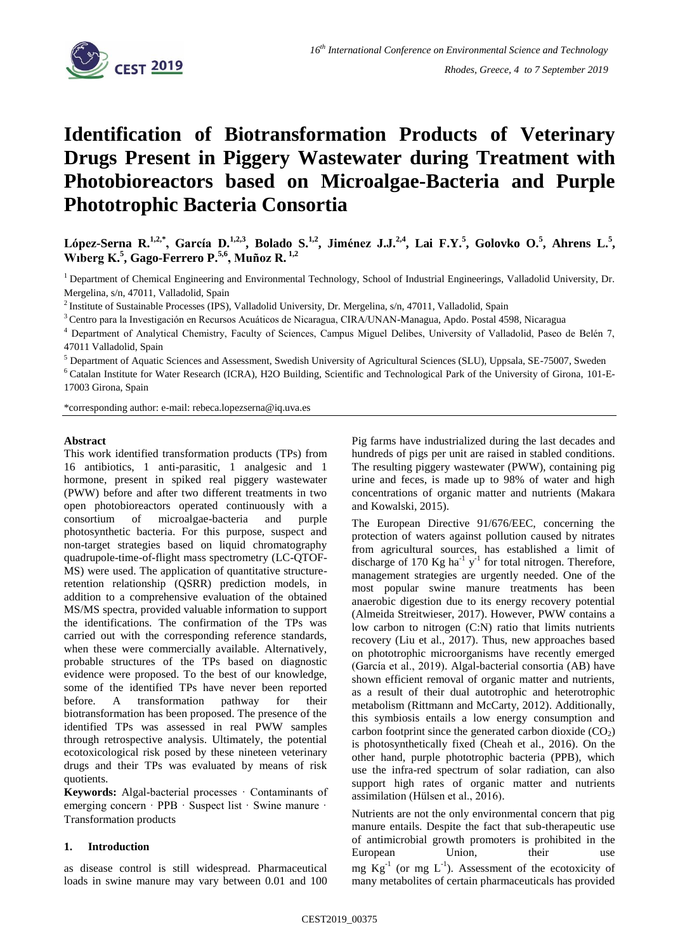

# **Identification of Biotransformation Products of Veterinary Drugs Present in Piggery Wastewater during Treatment with Photobioreactors based on Microalgae-Bacteria and Purple Phototrophic Bacteria Consortia**

**López-Serna R.1,2,\*, García D.1,2,3, Bolado S.1,2, Jiménez J.J.2,4 , Lai F.Y.<sup>5</sup> , Golovko O.<sup>5</sup> , Ahrens L.<sup>5</sup> , Wıberg K.<sup>5</sup> , Gago-Ferrero P.5,6, Muñoz R. 1,2**

<sup>1</sup> Department of Chemical Engineering and Environmental Technology, School of Industrial Engineerings, Valladolid University, Dr. Mergelina, s/n, 47011, Valladolid, Spain

<sup>2</sup> Institute of Sustainable Processes (IPS), Valladolid University, Dr. Mergelina, s/n, 47011, Valladolid, Spain

<sup>3</sup>Centro para la Investigación en Recursos Acuáticos de Nicaragua, CIRA/UNAN-Managua, Apdo. Postal 4598, Nicaragua

<sup>4</sup> Department of Analytical Chemistry, Faculty of Sciences, Campus Miguel Delibes, University of Valladolid, Paseo de Belén 7, 47011 Valladolid, Spain

<sup>5</sup> Department of Aquatic Sciences and Assessment, Swedish University of Agricultural Sciences (SLU), Uppsala, SE-75007, Sweden

<sup>6</sup> Catalan Institute for Water Research (ICRA), H2O Building, Scientific and Technological Park of the University of Girona, 101-E-17003 Girona, Spain

\*corresponding author: e-mail: rebeca.lopezserna@iq.uva.es

#### **Abstract**

This work identified transformation products (TPs) from 16 antibiotics, 1 anti-parasitic, 1 analgesic and 1 hormone, present in spiked real piggery wastewater (PWW) before and after two different treatments in two open photobioreactors operated continuously with a consortium of microalgae-bacteria and purple photosynthetic bacteria. For this purpose, suspect and non-target strategies based on liquid chromatography quadrupole-time-of-flight mass spectrometry (LC-QTOF-MS) were used. The application of quantitative structureretention relationship (QSRR) prediction models, in addition to a comprehensive evaluation of the obtained MS/MS spectra, provided valuable information to support the identifications. The confirmation of the TPs was carried out with the corresponding reference standards, when these were commercially available. Alternatively, probable structures of the TPs based on diagnostic evidence were proposed. To the best of our knowledge, some of the identified TPs have never been reported before. A transformation pathway for their biotransformation has been proposed. The presence of the identified TPs was assessed in real PWW samples through retrospective analysis. Ultimately, the potential ecotoxicological risk posed by these nineteen veterinary drugs and their TPs was evaluated by means of risk quotients.

**Keywords:** Algal-bacterial processes · Contaminants of emerging concern · PPB · Suspect list · Swine manure · Transformation products

#### **1. Introduction**

as disease control is still widespread. Pharmaceutical loads in swine manure may vary between 0.01 and 100 Pig farms have industrialized during the last decades and hundreds of pigs per unit are raised in stabled conditions. The resulting piggery wastewater (PWW), containing pig urine and feces, is made up to 98% of water and high concentrations of organic matter and nutrients (Makara and Kowalski, 2015).

The European Directive 91/676/EEC, concerning the protection of waters against pollution caused by nitrates from agricultural sources, has established a limit of discharge of 170 Kg ha<sup>-1</sup> y<sup>-1</sup> for total nitrogen. Therefore, management strategies are urgently needed. One of the most popular swine manure treatments has been anaerobic digestion due to its energy recovery potential (Almeida Streitwieser, 2017). However, PWW contains a low carbon to nitrogen (C:N) ratio that limits nutrients recovery (Liu et al., 2017). Thus, new approaches based on phototrophic microorganisms have recently emerged (García et al., 2019). Algal-bacterial consortia (AB) have shown efficient removal of organic matter and nutrients, as a result of their dual autotrophic and heterotrophic metabolism (Rittmann and McCarty, 2012). Additionally, this symbiosis entails a low energy consumption and carbon footprint since the generated carbon dioxide  $(CO<sub>2</sub>)$ is photosynthetically fixed (Cheah et al., 2016). On the other hand, purple phototrophic bacteria (PPB), which use the infra-red spectrum of solar radiation, can also support high rates of organic matter and nutrients assimilation (Hülsen et al., 2016).

Nutrients are not the only environmental concern that pig manure entails. Despite the fact that sub-therapeutic use of antimicrobial growth promoters is prohibited in the European Union, their use mg  $Kg^{-1}$  (or mg  $L^{-1}$ ). Assessment of the ecotoxicity of many metabolites of certain pharmaceuticals has provided